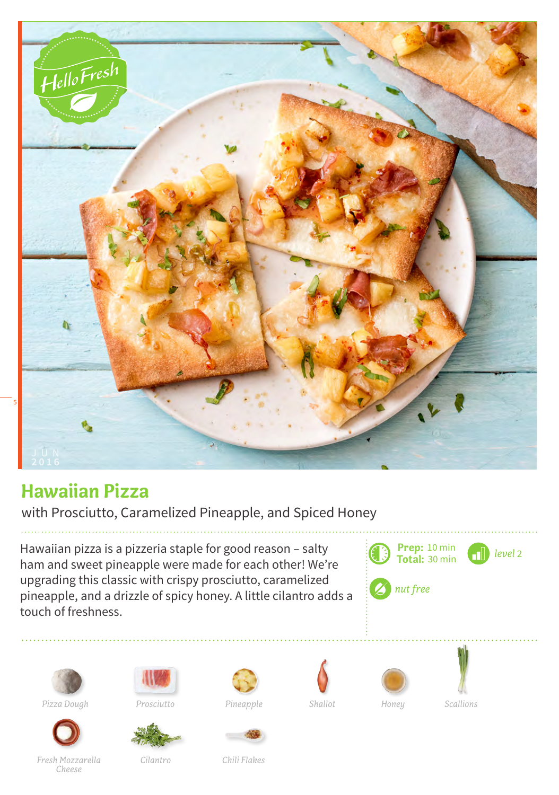

## **Hawaiian Pizza**

with Prosciutto, Caramelized Pineapple, and Spiced Honey

Hawaiian pizza is a pizzeria staple for good reason – salty ham and sweet pineapple were made for each other! We're upgrading this classic with crispy prosciutto, caramelized pineapple, and a drizzle of spicy honey. A little cilantro adds a touch of freshness.









Pineapple **Shallot** Honey









*Cilantro Chili Flakes*